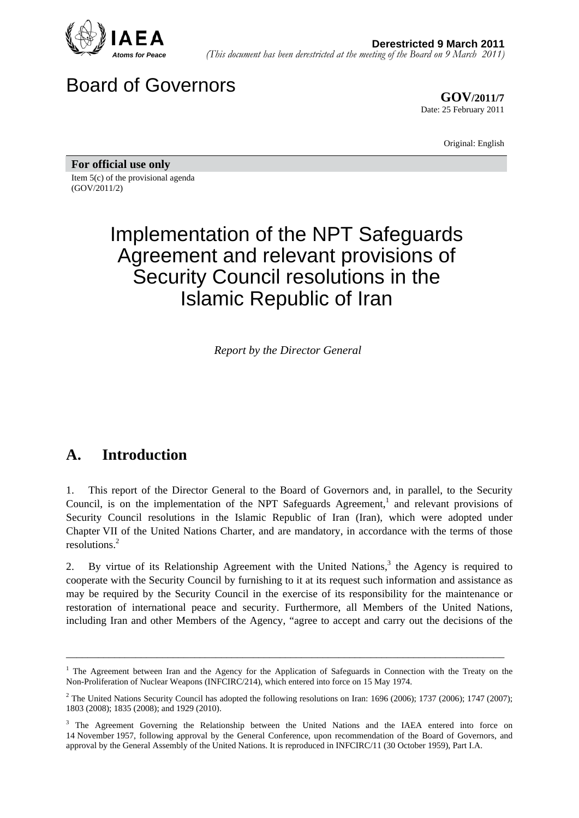

# Board of Governors

**GOV/2011/7** Date: 25 February 2011

Original: English

**For official use only**  Item 5(c) of the provisional agenda (GOV/2011/2)

# Implementation of the NPT Safeguards Agreement and relevant provisions of Security Council resolutions in the Islamic Republic of Iran

*Report by the Director General* 

# **A. Introduction**

1. This report of the Director General to the Board of Governors and, in parallel, to the Security Council, is on the implementation of the NPT Safeguards Agreement,<sup>1</sup> and relevant provisions of Security Council resolutions in the Islamic Republic of Iran (Iran), which were adopted under Chapter VII of the United Nations Charter, and are mandatory, in accordance with the terms of those resolutions.2

2. By virtue of its Relationship Agreement with the United Nations,<sup>3</sup> the Agency is required to cooperate with the Security Council by furnishing to it at its request such information and assistance as may be required by the Security Council in the exercise of its responsibility for the maintenance or restoration of international peace and security. Furthermore, all Members of the United Nations, including Iran and other Members of the Agency, "agree to accept and carry out the decisions of the

<sup>&</sup>lt;sup>1</sup> The Agreement between Iran and the Agency for the Application of Safeguards in Connection with the Treaty on the Non-Proliferation of Nuclear Weapons (INFCIRC/214), which entered into force on 15 May 1974.

<sup>&</sup>lt;sup>2</sup> The United Nations Security Council has adopted the following resolutions on Iran: 1696 (2006); 1737 (2006); 1747 (2007); 1803 (2008); 1835 (2008); and 1929 (2010).

<sup>&</sup>lt;sup>3</sup> The Agreement Governing the Relationship between the United Nations and the IAEA entered into force on 14 November 1957, following approval by the General Conference, upon recommendation of the Board of Governors, and approval by the General Assembly of the United Nations. It is reproduced in INFCIRC/11 (30 October 1959), Part I.A.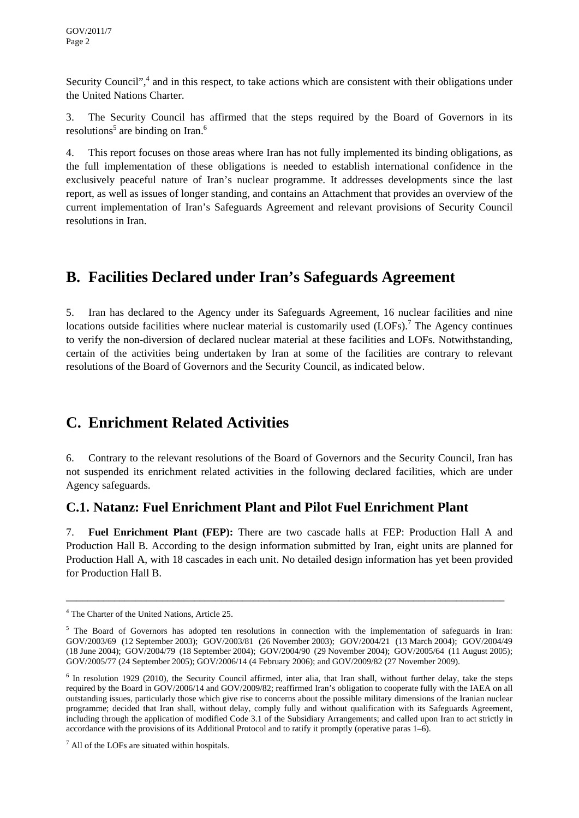Security Council",<sup>4</sup> and in this respect, to take actions which are consistent with their obligations under the United Nations Charter.

3. The Security Council has affirmed that the steps required by the Board of Governors in its resolutions<sup>5</sup> are binding on Iran.<sup>6</sup>

4. This report focuses on those areas where Iran has not fully implemented its binding obligations, as the full implementation of these obligations is needed to establish international confidence in the exclusively peaceful nature of Iran's nuclear programme. It addresses developments since the last report, as well as issues of longer standing, and contains an Attachment that provides an overview of the current implementation of Iran's Safeguards Agreement and relevant provisions of Security Council resolutions in Iran.

## **B. Facilities Declared under Iran's Safeguards Agreement**

5. Iran has declared to the Agency under its Safeguards Agreement, 16 nuclear facilities and nine locations outside facilities where nuclear material is customarily used  $(LOFs)$ .<sup>7</sup> The Agency continues to verify the non-diversion of declared nuclear material at these facilities and LOFs. Notwithstanding, certain of the activities being undertaken by Iran at some of the facilities are contrary to relevant resolutions of the Board of Governors and the Security Council, as indicated below.

### **C. Enrichment Related Activities**

6. Contrary to the relevant resolutions of the Board of Governors and the Security Council, Iran has not suspended its enrichment related activities in the following declared facilities, which are under Agency safeguards.

### **C.1. Natanz: Fuel Enrichment Plant and Pilot Fuel Enrichment Plant**

7. **Fuel Enrichment Plant (FEP):** There are two cascade halls at FEP: Production Hall A and Production Hall B. According to the design information submitted by Iran, eight units are planned for Production Hall A, with 18 cascades in each unit. No detailed design information has yet been provided for Production Hall B.

<sup>4</sup> The Charter of the United Nations, Article 25.

 $5$  The Board of Governors has adopted ten resolutions in connection with the implementation of safeguards in Iran: GOV/2003/69 (12 September 2003); GOV/2003/81 (26 November 2003); GOV/2004/21 (13 March 2004); GOV/2004/49 (18 June 2004); GOV/2004/79 (18 September 2004); GOV/2004/90 (29 November 2004); GOV/2005/64 (11 August 2005); GOV/2005/77 (24 September 2005); GOV/2006/14 (4 February 2006); and GOV/2009/82 (27 November 2009).

 $6$  In resolution 1929 (2010), the Security Council affirmed, inter alia, that Iran shall, without further delay, take the steps required by the Board in GOV/2006/14 and GOV/2009/82; reaffirmed Iran's obligation to cooperate fully with the IAEA on all outstanding issues, particularly those which give rise to concerns about the possible military dimensions of the Iranian nuclear programme; decided that Iran shall, without delay, comply fully and without qualification with its Safeguards Agreement, including through the application of modified Code 3.1 of the Subsidiary Arrangements; and called upon Iran to act strictly in accordance with the provisions of its Additional Protocol and to ratify it promptly (operative paras 1–6).

 $<sup>7</sup>$  All of the LOFs are situated within hospitals.</sup>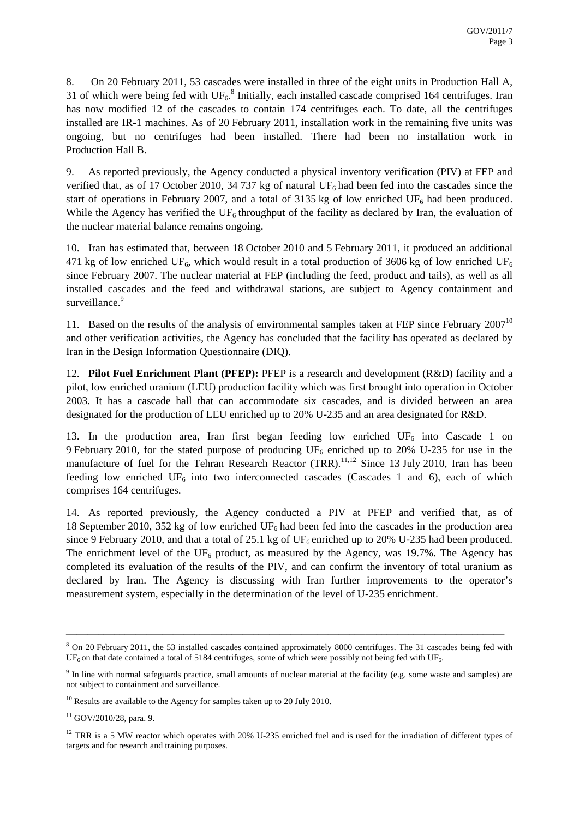8. On 20 February 2011, 53 cascades were installed in three of the eight units in Production Hall A, 31 of which were being fed with  $UF_6$ .<sup>8</sup> Initially, each installed cascade comprised 164 centrifuges. Iran has now modified 12 of the cascades to contain 174 centrifuges each. To date, all the centrifuges installed are IR-1 machines. As of 20 February 2011, installation work in the remaining five units was ongoing, but no centrifuges had been installed. There had been no installation work in Production Hall B.

9. As reported previously, the Agency conducted a physical inventory verification (PIV) at FEP and verified that, as of 17 October 2010, 34 737 kg of natural  $UF_6$  had been fed into the cascades since the start of operations in February 2007, and a total of 3135 kg of low enriched  $UF_6$  had been produced. While the Agency has verified the  $UF_6$  throughput of the facility as declared by Iran, the evaluation of the nuclear material balance remains ongoing.

10. Iran has estimated that, between 18 October 2010 and 5 February 2011, it produced an additional 471 kg of low enriched UF<sub>6</sub>, which would result in a total production of 3606 kg of low enriched UF<sub>6</sub> since February 2007. The nuclear material at FEP (including the feed, product and tails), as well as all installed cascades and the feed and withdrawal stations, are subject to Agency containment and surveillance.<sup>9</sup>

11. Based on the results of the analysis of environmental samples taken at FEP since February  $2007^{10}$ and other verification activities, the Agency has concluded that the facility has operated as declared by Iran in the Design Information Questionnaire (DIQ).

12. **Pilot Fuel Enrichment Plant (PFEP):** PFEP is a research and development (R&D) facility and a pilot, low enriched uranium (LEU) production facility which was first brought into operation in October 2003. It has a cascade hall that can accommodate six cascades, and is divided between an area designated for the production of LEU enriched up to 20% U-235 and an area designated for R&D.

13. In the production area, Iran first began feeding low enriched  $UF_6$  into Cascade 1 on 9 February 2010, for the stated purpose of producing  $UF_6$  enriched up to 20% U-235 for use in the manufacture of fuel for the Tehran Research Reactor  $(TRR)$ <sup>11,12</sup> Since 13 July 2010, Iran has been feeding low enriched  $UF_6$  into two interconnected cascades (Cascades 1 and 6), each of which comprises 164 centrifuges.

14. As reported previously, the Agency conducted a PIV at PFEP and verified that, as of 18 September 2010, 352 kg of low enriched  $UF_6$  had been fed into the cascades in the production area since 9 February 2010, and that a total of 25.1 kg of  $UF_6$  enriched up to 20% U-235 had been produced. The enrichment level of the UF<sub>6</sub> product, as measured by the Agency, was 19.7%. The Agency has completed its evaluation of the results of the PIV, and can confirm the inventory of total uranium as declared by Iran. The Agency is discussing with Iran further improvements to the operator's measurement system, especially in the determination of the level of U-235 enrichment.

<sup>&</sup>lt;sup>8</sup> On 20 February 2011, the 53 installed cascades contained approximately 8000 centrifuges. The 31 cascades being fed with  $UF<sub>6</sub>$  on that date contained a total of 5184 centrifuges, some of which were possibly not being fed with UF<sub>6</sub>.

<sup>&</sup>lt;sup>9</sup> In line with normal safeguards practice, small amounts of nuclear material at the facility (e.g. some waste and samples) are not subject to containment and surveillance.

<sup>&</sup>lt;sup>10</sup> Results are available to the Agency for samples taken up to 20 July 2010.

 $11$  GOV/2010/28, para. 9.

<sup>&</sup>lt;sup>12</sup> TRR is a 5 MW reactor which operates with 20% U-235 enriched fuel and is used for the irradiation of different types of targets and for research and training purposes.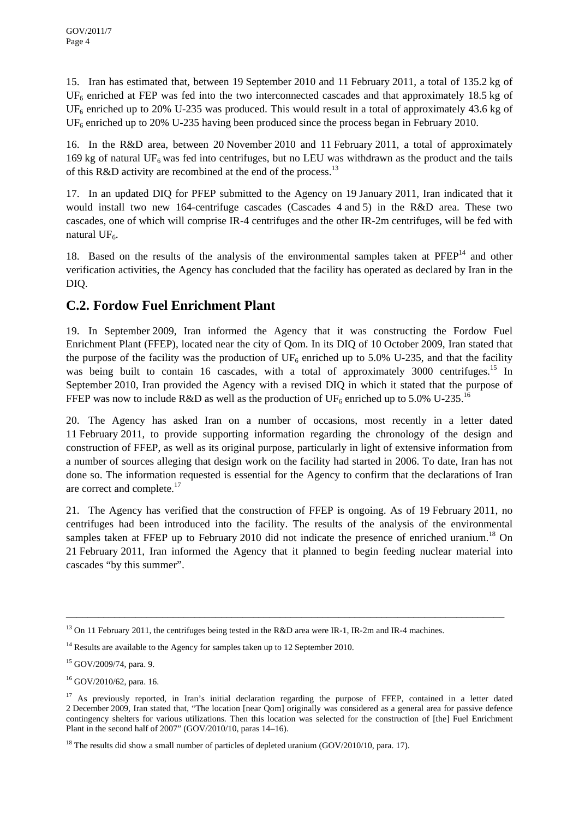15. Iran has estimated that, between 19 September 2010 and 11 February 2011, a total of 135.2 kg of  $UF<sub>6</sub>$  enriched at FEP was fed into the two interconnected cascades and that approximately 18.5 kg of  $UF<sub>6</sub>$  enriched up to 20% U-235 was produced. This would result in a total of approximately 43.6 kg of  $UF<sub>6</sub>$  enriched up to 20% U-235 having been produced since the process began in February 2010.

16. In the R&D area, between 20 November 2010 and 11 February 2011, a total of approximately 169 kg of natural  $UF_6$  was fed into centrifuges, but no LEU was withdrawn as the product and the tails of this R&D activity are recombined at the end of the process.<sup>13</sup>

17. In an updated DIQ for PFEP submitted to the Agency on 19 January 2011, Iran indicated that it would install two new 164-centrifuge cascades (Cascades 4 and 5) in the R&D area. These two cascades, one of which will comprise IR-4 centrifuges and the other IR-2m centrifuges, will be fed with natural UF<sub>6</sub>.

18. Based on the results of the analysis of the environmental samples taken at  $P F E P<sup>14</sup>$  and other verification activities, the Agency has concluded that the facility has operated as declared by Iran in the DIQ.

### **C.2. Fordow Fuel Enrichment Plant**

19. In September 2009, Iran informed the Agency that it was constructing the Fordow Fuel Enrichment Plant (FFEP), located near the city of Qom. In its DIQ of 10 October 2009, Iran stated that the purpose of the facility was the production of  $UF_6$  enriched up to 5.0% U-235, and that the facility was being built to contain 16 cascades, with a total of approximately 3000 centrifuges.<sup>15</sup> In September 2010, Iran provided the Agency with a revised DIQ in which it stated that the purpose of FFEP was now to include R&D as well as the production of UF<sub>6</sub> enriched up to 5.0% U-235.<sup>16</sup>

20. The Agency has asked Iran on a number of occasions, most recently in a letter dated 11 February 2011, to provide supporting information regarding the chronology of the design and construction of FFEP, as well as its original purpose, particularly in light of extensive information from a number of sources alleging that design work on the facility had started in 2006. To date, Iran has not done so. The information requested is essential for the Agency to confirm that the declarations of Iran are correct and complete.<sup>17</sup>

21. The Agency has verified that the construction of FFEP is ongoing. As of 19 February 2011, no centrifuges had been introduced into the facility. The results of the analysis of the environmental samples taken at FFEP up to February 2010 did not indicate the presence of enriched uranium.<sup>18</sup> On 21 February 2011, Iran informed the Agency that it planned to begin feeding nuclear material into cascades "by this summer".

<sup>&</sup>lt;sup>13</sup> On 11 February 2011, the centrifuges being tested in the R&D area were IR-1, IR-2m and IR-4 machines.

 $14$  Results are available to the Agency for samples taken up to 12 September 2010.

 $15$  GOV/2009/74, para. 9.

<sup>16</sup> GOV/2010/62, para. 16.

<sup>&</sup>lt;sup>17</sup> As previously reported, in Iran's initial declaration regarding the purpose of FFEP, contained in a letter dated 2 December 2009, Iran stated that, "The location [near Qom] originally was considered as a general area for passive defence contingency shelters for various utilizations. Then this location was selected for the construction of [the] Fuel Enrichment Plant in the second half of 2007" (GOV/2010/10, paras 14–16).

 $18$  The results did show a small number of particles of depleted uranium (GOV/2010/10, para. 17).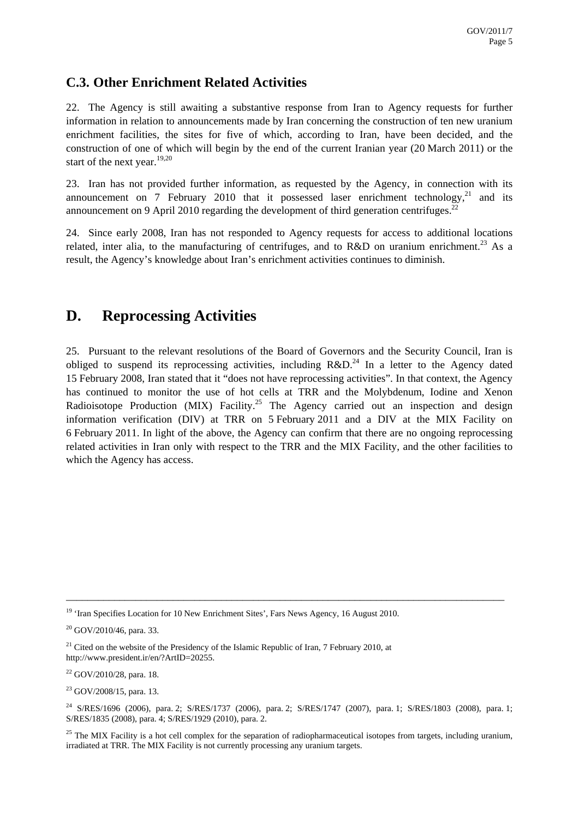### **C.3. Other Enrichment Related Activities**

22. The Agency is still awaiting a substantive response from Iran to Agency requests for further information in relation to announcements made by Iran concerning the construction of ten new uranium enrichment facilities, the sites for five of which, according to Iran, have been decided, and the construction of one of which will begin by the end of the current Iranian year (20 March 2011) or the start of the next year.  $19,20$ 

23. Iran has not provided further information, as requested by the Agency, in connection with its announcement on 7 February 2010 that it possessed laser enrichment technology, $2^{1}$  and its announcement on 9 April 2010 regarding the development of third generation centrifuges.<sup>22</sup>

24. Since early 2008, Iran has not responded to Agency requests for access to additional locations related, inter alia, to the manufacturing of centrifuges, and to  $R&D$  on uranium enrichment.<sup>23</sup> As a result, the Agency's knowledge about Iran's enrichment activities continues to diminish.

# **D. Reprocessing Activities**

25. Pursuant to the relevant resolutions of the Board of Governors and the Security Council, Iran is obliged to suspend its reprocessing activities, including  $R&D<sup>24</sup>$  In a letter to the Agency dated 15 February 2008, Iran stated that it "does not have reprocessing activities". In that context, the Agency has continued to monitor the use of hot cells at TRR and the Molybdenum, Iodine and Xenon Radioisotope Production (MIX) Facility.<sup>25</sup> The Agency carried out an inspection and design information verification (DIV) at TRR on 5 February 2011 and a DIV at the MIX Facility on 6 February 2011. In light of the above, the Agency can confirm that there are no ongoing reprocessing related activities in Iran only with respect to the TRR and the MIX Facility, and the other facilities to which the Agency has access.

 $23$  GOV/2008/15, para. 13.

<sup>&</sup>lt;sup>19</sup> 'Iran Specifies Location for 10 New Enrichment Sites', Fars News Agency, 16 August 2010.

<sup>&</sup>lt;sup>20</sup> GOV/2010/46, para. 33.

 $21$  Cited on the website of the Presidency of the Islamic Republic of Iran, 7 February 2010, at http://www.president.ir/en/?ArtID=20255.

 $22$  GOV/2010/28, para. 18.

<sup>&</sup>lt;sup>24</sup> S/RES/1696 (2006), para. 2; S/RES/1737 (2006), para. 2; S/RES/1747 (2007), para. 1; S/RES/1803 (2008), para. 1; S/RES/1835 (2008), para. 4; S/RES/1929 (2010), para. 2.

<sup>&</sup>lt;sup>25</sup> The MIX Facility is a hot cell complex for the separation of radiopharmaceutical isotopes from targets, including uranium, irradiated at TRR. The MIX Facility is not currently processing any uranium targets.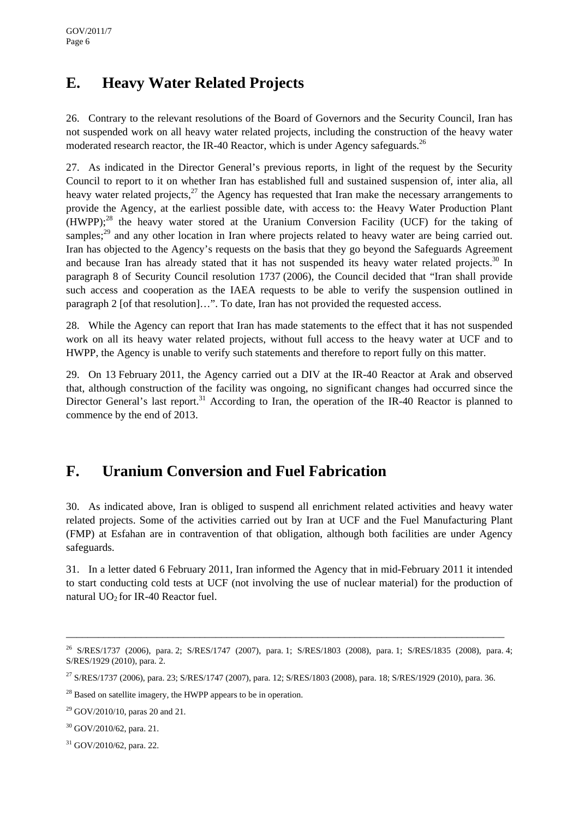# **E. Heavy Water Related Projects**

26. Contrary to the relevant resolutions of the Board of Governors and the Security Council, Iran has not suspended work on all heavy water related projects, including the construction of the heavy water moderated research reactor, the IR-40 Reactor, which is under Agency safeguards.<sup>26</sup>

27. As indicated in the Director General's previous reports, in light of the request by the Security Council to report to it on whether Iran has established full and sustained suspension of, inter alia, all heavy water related projects, $^{27}$  the Agency has requested that Iran make the necessary arrangements to provide the Agency, at the earliest possible date, with access to: the Heavy Water Production Plant  $(HWPP)$ ;<sup>28</sup> the heavy water stored at the Uranium Conversion Facility (UCF) for the taking of samples;<sup>29</sup> and any other location in Iran where projects related to heavy water are being carried out. Iran has objected to the Agency's requests on the basis that they go beyond the Safeguards Agreement and because Iran has already stated that it has not suspended its heavy water related projects.<sup>30</sup> In paragraph 8 of Security Council resolution 1737 (2006), the Council decided that "Iran shall provide such access and cooperation as the IAEA requests to be able to verify the suspension outlined in paragraph 2 [of that resolution]…". To date, Iran has not provided the requested access.

28. While the Agency can report that Iran has made statements to the effect that it has not suspended work on all its heavy water related projects, without full access to the heavy water at UCF and to HWPP, the Agency is unable to verify such statements and therefore to report fully on this matter.

29. On 13 February 2011, the Agency carried out a DIV at the IR-40 Reactor at Arak and observed that, although construction of the facility was ongoing, no significant changes had occurred since the Director General's last report.<sup>31</sup> According to Iran, the operation of the IR-40 Reactor is planned to commence by the end of 2013.

# **F. Uranium Conversion and Fuel Fabrication**

30. As indicated above, Iran is obliged to suspend all enrichment related activities and heavy water related projects. Some of the activities carried out by Iran at UCF and the Fuel Manufacturing Plant (FMP) at Esfahan are in contravention of that obligation, although both facilities are under Agency safeguards.

31. In a letter dated 6 February 2011, Iran informed the Agency that in mid-February 2011 it intended to start conducting cold tests at UCF (not involving the use of nuclear material) for the production of natural  $UO<sub>2</sub>$  for IR-40 Reactor fuel.

<sup>&</sup>lt;sup>26</sup> S/RES/1737 (2006), para. 2; S/RES/1747 (2007), para. 1; S/RES/1803 (2008), para. 1; S/RES/1835 (2008), para. 4; S/RES/1929 (2010), para. 2.

<sup>&</sup>lt;sup>27</sup> S/RES/1737 (2006), para. 23; S/RES/1747 (2007), para. 12; S/RES/1803 (2008), para. 18; S/RES/1929 (2010), para. 36.

<sup>&</sup>lt;sup>28</sup> Based on satellite imagery, the HWPP appears to be in operation.

 $29$  GOV/2010/10, paras 20 and 21.

<sup>30</sup> GOV/2010/62, para. 21.

<sup>31</sup> GOV/2010/62, para. 22.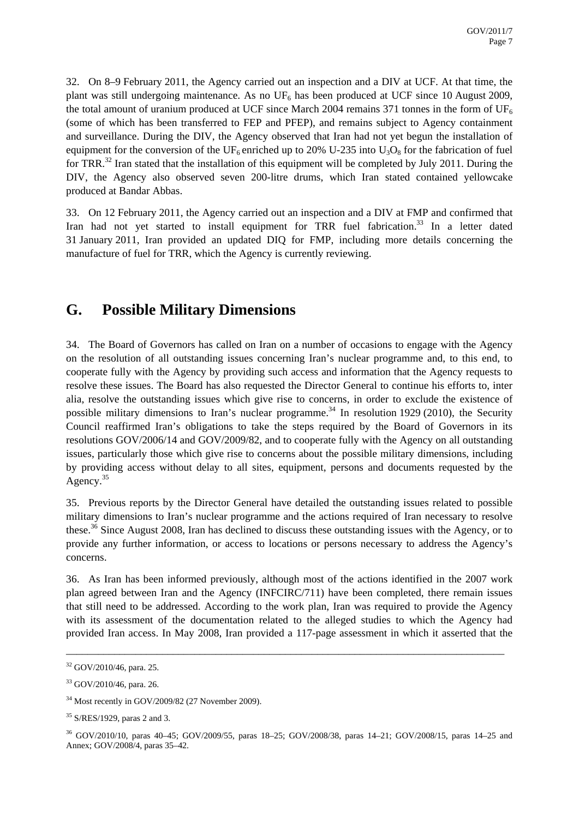32. On 8–9 February 2011, the Agency carried out an inspection and a DIV at UCF. At that time, the plant was still undergoing maintenance. As no  $UF_6$  has been produced at UCF since 10 August 2009, the total amount of uranium produced at UCF since March 2004 remains 371 tonnes in the form of UF<sub>6</sub> (some of which has been transferred to FEP and PFEP), and remains subject to Agency containment and surveillance. During the DIV, the Agency observed that Iran had not yet begun the installation of equipment for the conversion of the UF<sub>6</sub> enriched up to 20% U-235 into U<sub>3</sub>O<sub>8</sub> for the fabrication of fuel for TRR.<sup>32</sup> Iran stated that the installation of this equipment will be completed by July 2011. During the DIV, the Agency also observed seven 200-litre drums, which Iran stated contained yellowcake produced at Bandar Abbas.

33. On 12 February 2011, the Agency carried out an inspection and a DIV at FMP and confirmed that Iran had not yet started to install equipment for TRR fuel fabrication. $33$  In a letter dated 31 January 2011, Iran provided an updated DIQ for FMP, including more details concerning the manufacture of fuel for TRR, which the Agency is currently reviewing.

### **G. Possible Military Dimensions**

34. The Board of Governors has called on Iran on a number of occasions to engage with the Agency on the resolution of all outstanding issues concerning Iran's nuclear programme and, to this end, to cooperate fully with the Agency by providing such access and information that the Agency requests to resolve these issues. The Board has also requested the Director General to continue his efforts to, inter alia, resolve the outstanding issues which give rise to concerns, in order to exclude the existence of possible military dimensions to Iran's nuclear programme.<sup>34</sup> In resolution 1929 (2010), the Security Council reaffirmed Iran's obligations to take the steps required by the Board of Governors in its resolutions GOV/2006/14 and GOV/2009/82, and to cooperate fully with the Agency on all outstanding issues, particularly those which give rise to concerns about the possible military dimensions, including by providing access without delay to all sites, equipment, persons and documents requested by the Agency.<sup>35</sup>

35. Previous reports by the Director General have detailed the outstanding issues related to possible military dimensions to Iran's nuclear programme and the actions required of Iran necessary to resolve these.36 Since August 2008, Iran has declined to discuss these outstanding issues with the Agency, or to provide any further information, or access to locations or persons necessary to address the Agency's concerns.

36. As Iran has been informed previously, although most of the actions identified in the 2007 work plan agreed between Iran and the Agency (INFCIRC/711) have been completed, there remain issues that still need to be addressed. According to the work plan, Iran was required to provide the Agency with its assessment of the documentation related to the alleged studies to which the Agency had provided Iran access. In May 2008, Iran provided a 117-page assessment in which it asserted that the

<sup>32</sup> GOV/2010/46, para. 25.

<sup>33</sup> GOV/2010/46, para. 26.

<sup>34</sup> Most recently in GOV/2009/82 (27 November 2009).

<sup>35</sup> S/RES/1929, paras 2 and 3.

<sup>36</sup> GOV/2010/10, paras 40–45; GOV/2009/55, paras 18–25; GOV/2008/38, paras 14–21; GOV/2008/15, paras 14–25 and Annex; GOV/2008/4, paras 35–42.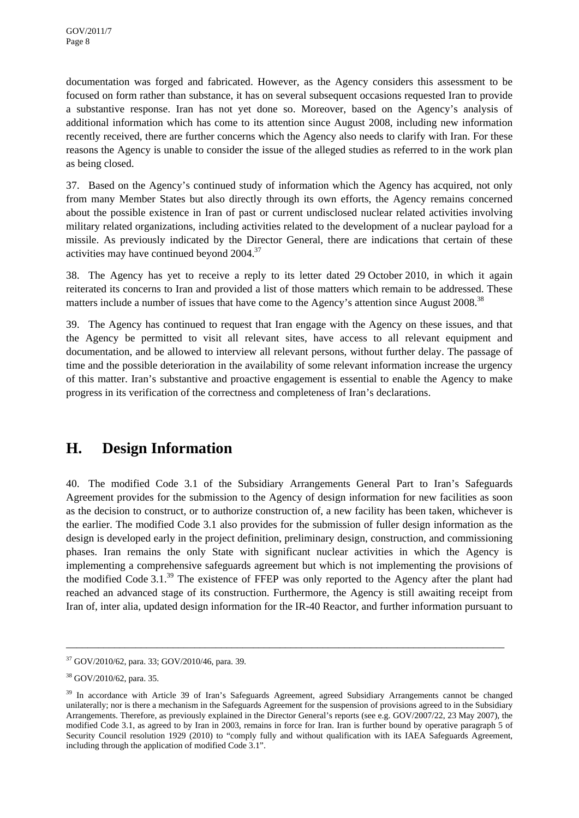documentation was forged and fabricated. However, as the Agency considers this assessment to be focused on form rather than substance, it has on several subsequent occasions requested Iran to provide a substantive response. Iran has not yet done so. Moreover, based on the Agency's analysis of additional information which has come to its attention since August 2008, including new information recently received, there are further concerns which the Agency also needs to clarify with Iran. For these reasons the Agency is unable to consider the issue of the alleged studies as referred to in the work plan as being closed.

37. Based on the Agency's continued study of information which the Agency has acquired, not only from many Member States but also directly through its own efforts, the Agency remains concerned about the possible existence in Iran of past or current undisclosed nuclear related activities involving military related organizations, including activities related to the development of a nuclear payload for a missile. As previously indicated by the Director General, there are indications that certain of these activities may have continued beyond 2004.37

38. The Agency has yet to receive a reply to its letter dated 29 October 2010, in which it again reiterated its concerns to Iran and provided a list of those matters which remain to be addressed. These matters include a number of issues that have come to the Agency's attention since August 2008.<sup>38</sup>

39. The Agency has continued to request that Iran engage with the Agency on these issues, and that the Agency be permitted to visit all relevant sites, have access to all relevant equipment and documentation, and be allowed to interview all relevant persons, without further delay. The passage of time and the possible deterioration in the availability of some relevant information increase the urgency of this matter. Iran's substantive and proactive engagement is essential to enable the Agency to make progress in its verification of the correctness and completeness of Iran's declarations.

# **H. Design Information**

40. The modified Code 3.1 of the Subsidiary Arrangements General Part to Iran's Safeguards Agreement provides for the submission to the Agency of design information for new facilities as soon as the decision to construct, or to authorize construction of, a new facility has been taken, whichever is the earlier. The modified Code 3.1 also provides for the submission of fuller design information as the design is developed early in the project definition, preliminary design, construction, and commissioning phases. Iran remains the only State with significant nuclear activities in which the Agency is implementing a comprehensive safeguards agreement but which is not implementing the provisions of the modified Code 3.1.<sup>39</sup> The existence of FFEP was only reported to the Agency after the plant had reached an advanced stage of its construction. Furthermore, the Agency is still awaiting receipt from Iran of, inter alia, updated design information for the IR-40 Reactor, and further information pursuant to

<sup>37</sup> GOV/2010/62, para. 33; GOV/2010/46, para. 39.

<sup>38</sup> GOV/2010/62, para. 35.

<sup>&</sup>lt;sup>39</sup> In accordance with Article 39 of Iran's Safeguards Agreement, agreed Subsidiary Arrangements cannot be changed unilaterally; nor is there a mechanism in the Safeguards Agreement for the suspension of provisions agreed to in the Subsidiary Arrangements. Therefore, as previously explained in the Director General's reports (see e.g. GOV/2007/22, 23 May 2007), the modified Code 3.1, as agreed to by Iran in 2003, remains in force for Iran. Iran is further bound by operative paragraph 5 of Security Council resolution 1929 (2010) to "comply fully and without qualification with its IAEA Safeguards Agreement, including through the application of modified Code 3.1".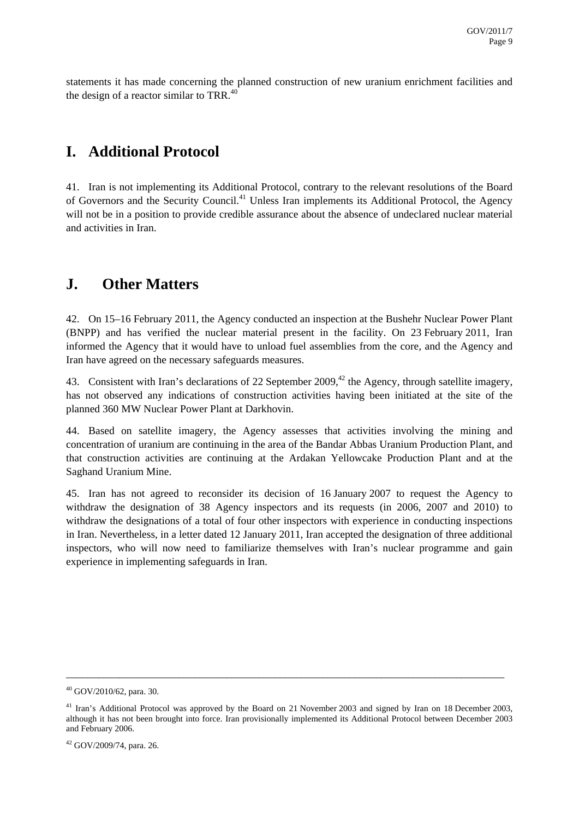statements it has made concerning the planned construction of new uranium enrichment facilities and the design of a reactor similar to TRR. $40$ 

### **I. Additional Protocol**

41. Iran is not implementing its Additional Protocol, contrary to the relevant resolutions of the Board of Governors and the Security Council.<sup>41</sup> Unless Iran implements its Additional Protocol, the Agency will not be in a position to provide credible assurance about the absence of undeclared nuclear material and activities in Iran.

### **J. Other Matters**

42. On 15–16 February 2011, the Agency conducted an inspection at the Bushehr Nuclear Power Plant (BNPP) and has verified the nuclear material present in the facility. On 23 February 2011, Iran informed the Agency that it would have to unload fuel assemblies from the core, and the Agency and Iran have agreed on the necessary safeguards measures.

43. Consistent with Iran's declarations of 22 September 2009,<sup>42</sup> the Agency, through satellite imagery, has not observed any indications of construction activities having been initiated at the site of the planned 360 MW Nuclear Power Plant at Darkhovin.

44. Based on satellite imagery, the Agency assesses that activities involving the mining and concentration of uranium are continuing in the area of the Bandar Abbas Uranium Production Plant, and that construction activities are continuing at the Ardakan Yellowcake Production Plant and at the Saghand Uranium Mine.

45. Iran has not agreed to reconsider its decision of 16 January 2007 to request the Agency to withdraw the designation of 38 Agency inspectors and its requests (in 2006, 2007 and 2010) to withdraw the designations of a total of four other inspectors with experience in conducting inspections in Iran. Nevertheless, in a letter dated 12 January 2011, Iran accepted the designation of three additional inspectors, who will now need to familiarize themselves with Iran's nuclear programme and gain experience in implementing safeguards in Iran.

<sup>40</sup> GOV/2010/62, para. 30.

<sup>&</sup>lt;sup>41</sup> Iran's Additional Protocol was approved by the Board on 21 November 2003 and signed by Iran on 18 December 2003, although it has not been brought into force. Iran provisionally implemented its Additional Protocol between December 2003 and February 2006.

 $42$  GOV/2009/74, para. 26.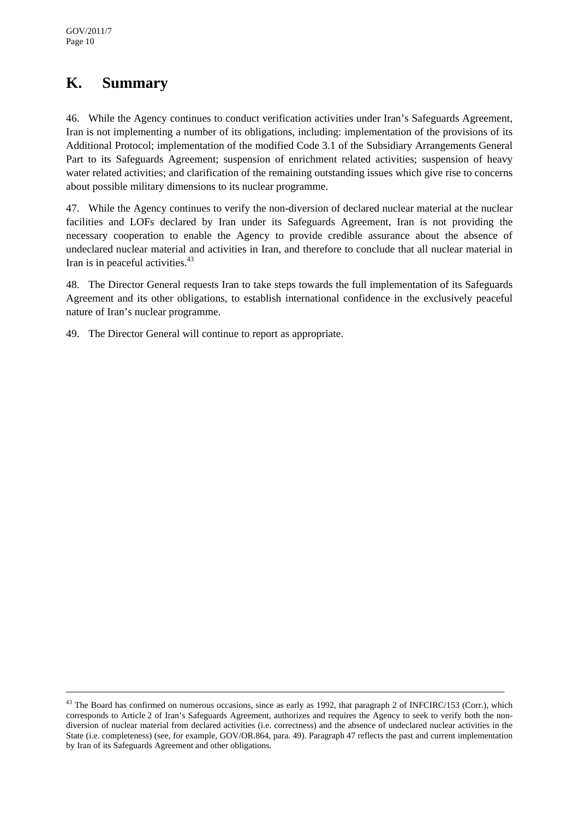# **K. Summary**

46. While the Agency continues to conduct verification activities under Iran's Safeguards Agreement, Iran is not implementing a number of its obligations, including: implementation of the provisions of its Additional Protocol; implementation of the modified Code 3.1 of the Subsidiary Arrangements General Part to its Safeguards Agreement; suspension of enrichment related activities; suspension of heavy water related activities; and clarification of the remaining outstanding issues which give rise to concerns about possible military dimensions to its nuclear programme.

47. While the Agency continues to verify the non-diversion of declared nuclear material at the nuclear facilities and LOFs declared by Iran under its Safeguards Agreement, Iran is not providing the necessary cooperation to enable the Agency to provide credible assurance about the absence of undeclared nuclear material and activities in Iran, and therefore to conclude that all nuclear material in Iran is in peaceful activities.<sup>43</sup>

48. The Director General requests Iran to take steps towards the full implementation of its Safeguards Agreement and its other obligations, to establish international confidence in the exclusively peaceful nature of Iran's nuclear programme.

49. The Director General will continue to report as appropriate.

<sup>&</sup>lt;sup>43</sup> The Board has confirmed on numerous occasions, since as early as 1992, that paragraph 2 of INFCIRC/153 (Corr.), which corresponds to Article 2 of Iran's Safeguards Agreement, authorizes and requires the Agency to seek to verify both the nondiversion of nuclear material from declared activities (i.e. correctness) and the absence of undeclared nuclear activities in the State (i.e. completeness) (see, for example, GOV/OR.864, para. 49). Paragraph 47 reflects the past and current implementation by Iran of its Safeguards Agreement and other obligations.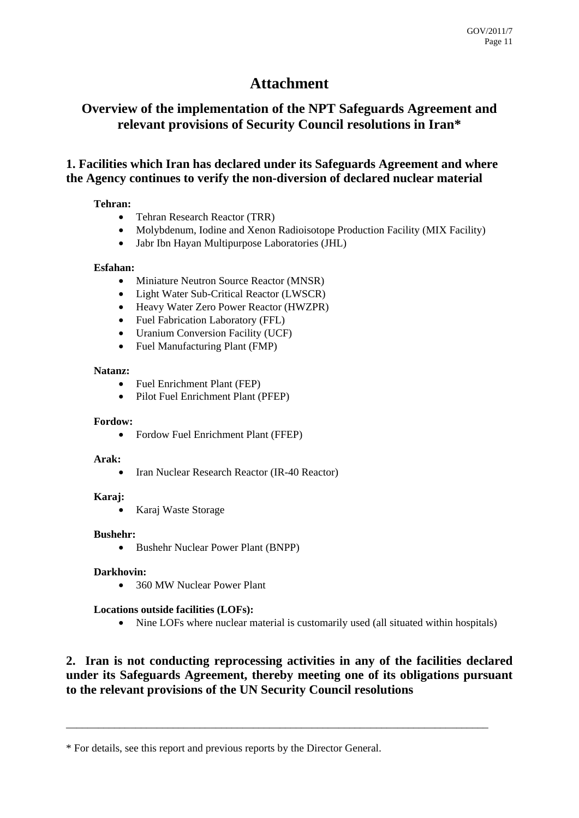### **Attachment**

### **Overview of the implementation of the NPT Safeguards Agreement and relevant provisions of Security Council resolutions in Iran\***

### **1. Facilities which Iran has declared under its Safeguards Agreement and where the Agency continues to verify the non-diversion of declared nuclear material**

#### **Tehran:**

- Tehran Research Reactor (TRR)
- Molybdenum, Iodine and Xenon Radioisotope Production Facility (MIX Facility)
- Jabr Ibn Hayan Multipurpose Laboratories (JHL)

#### **Esfahan:**

- Miniature Neutron Source Reactor (MNSR)
- Light Water Sub-Critical Reactor (LWSCR)
- Heavy Water Zero Power Reactor (HWZPR)
- Fuel Fabrication Laboratory (FFL)
- Uranium Conversion Facility (UCF)
- Fuel Manufacturing Plant (FMP)

#### **Natanz:**

- Fuel Enrichment Plant (FEP)
- Pilot Fuel Enrichment Plant (PFEP)

#### **Fordow:**

• Fordow Fuel Enrichment Plant (FFEP)

#### **Arak:**

• Iran Nuclear Research Reactor (IR-40 Reactor)

#### **Karaj:**

• Karaj Waste Storage

#### **Bushehr:**

• Bushehr Nuclear Power Plant (BNPP)

#### **Darkhovin:**

• 360 MW Nuclear Power Plant

#### **Locations outside facilities (LOFs):**

• Nine LOFs where nuclear material is customarily used (all situated within hospitals)

### **2. Iran is not conducting reprocessing activities in any of the facilities declared under its Safeguards Agreement, thereby meeting one of its obligations pursuant to the relevant provisions of the UN Security Council resolutions**

<sup>\*</sup> For details, see this report and previous reports by the Director General.